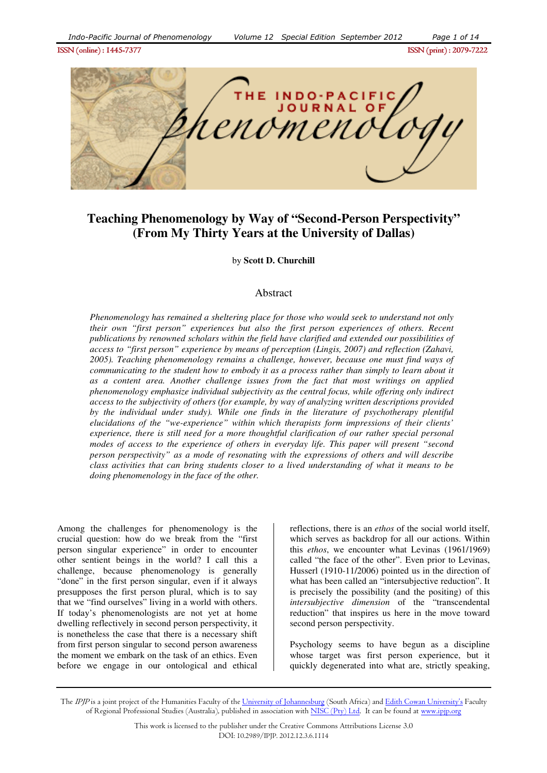ISSN (online) : 1445- ISSN (online) : 1445-7377ISSN (print) : 2079- ISSN 2079-7222



# **Teaching Phenomenology by Way of "Second-Person Perspectivity" (From My Thirty Years at the University of Dallas)**

by **Scott D. Churchill**

#### Abstract

*Phenomenology has remained a sheltering place for those who would seek to understand not only their own "first person" experiences but also the first person experiences of others. Recent publications by renowned scholars within the field have clarified and extended our possibilities of access to "first person" experience by means of perception (Lingis, 2007) and reflection (Zahavi, 2005). Teaching phenomenology remains a challenge, however, because one must find ways of communicating to the student how to embody it as a process rather than simply to learn about it as a content area. Another challenge issues from the fact that most writings on applied phenomenology emphasize individual subjectivity as the central focus, while offering only indirect access to the subjectivity of others (for example, by way of analyzing written descriptions provided by the individual under study). While one finds in the literature of psychotherapy plentiful elucidations of the "we-experience" within which therapists form impressions of their clients' experience, there is still need for a more thoughtful clarification of our rather special personal modes of access to the experience of others in everyday life. This paper will present "second person perspectivity" as a mode of resonating with the expressions of others and will describe class activities that can bring students closer to a lived understanding of what it means to be doing phenomenology in the face of the other.* 

Among the challenges for phenomenology is the crucial question: how do we break from the "first person singular experience" in order to encounter other sentient beings in the world? I call this a challenge, because phenomenology is generally "done" in the first person singular, even if it always presupposes the first person plural, which is to say that we "find ourselves" living in a world with others. If today's phenomenologists are not yet at home dwelling reflectively in second person perspectivity, it is nonetheless the case that there is a necessary shift from first person singular to second person awareness the moment we embark on the task of an ethics. Even before we engage in our ontological and ethical reflections, there is an *ethos* of the social world itself, which serves as backdrop for all our actions. Within this *ethos*, we encounter what Levinas (1961/1969) called "the face of the other". Even prior to Levinas, Husserl (1910-11/2006) pointed us in the direction of what has been called an "intersubjective reduction". It is precisely the possibility (and the positing) of this *intersubjective dimension* of the "transcendental reduction" that inspires us here in the move toward second person perspectivity.

Psychology seems to have begun as a discipline whose target was first person experience, but it quickly degenerated into what are, strictly speaking,

The IPJP is a joint project of the Humanities Faculty of the University of Johannesburg (South Africa) and Edith Cowan University's Faculty of Regional Professional Studies (Australia), published in association with NISC (Pty) Ltd. It can be found at www.ipjp.org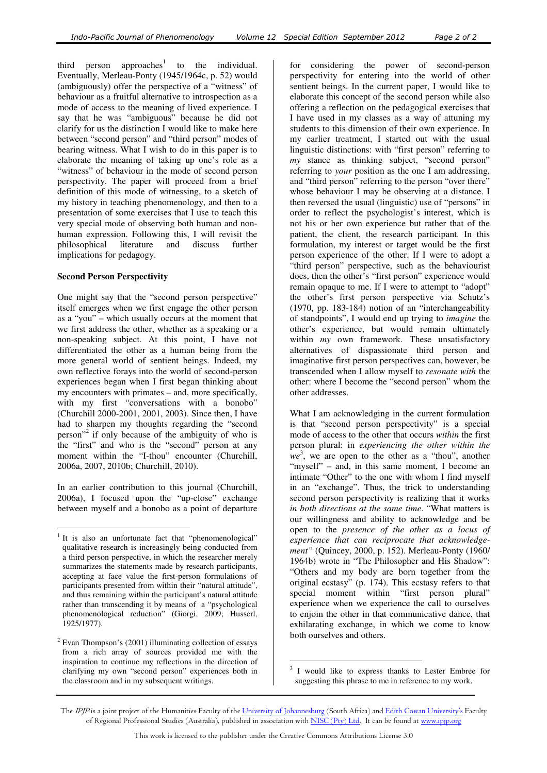third person approaches<sup>1</sup> to the individual. Eventually, Merleau-Ponty (1945/1964c, p. 52) would (ambiguously) offer the perspective of a "witness" of behaviour as a fruitful alternative to introspection as a mode of access to the meaning of lived experience. I say that he was "ambiguous" because he did not clarify for us the distinction I would like to make here between "second person" and "third person" modes of bearing witness. What I wish to do in this paper is to elaborate the meaning of taking up one's role as a "witness" of behaviour in the mode of second person perspectivity. The paper will proceed from a brief definition of this mode of witnessing, to a sketch of my history in teaching phenomenology, and then to a presentation of some exercises that I use to teach this very special mode of observing both human and nonhuman expression. Following this, I will revisit the philosophical literature and discuss further implications for pedagogy.

## **Second Person Perspectivity**

 $\overline{a}$ 

One might say that the "second person perspective" itself emerges when we first engage the other person as a "you" – which usually occurs at the moment that we first address the other, whether as a speaking or a non-speaking subject. At this point, I have not differentiated the other as a human being from the more general world of sentient beings. Indeed, my own reflective forays into the world of second-person experiences began when I first began thinking about my encounters with primates – and, more specifically, with my first "conversations with a bonobo" (Churchill 2000-2001, 2001, 2003). Since then, I have had to sharpen my thoughts regarding the "second person"<sup>2</sup> if only because of the ambiguity of who is the "first" and who is the "second" person at any moment within the "I-thou" encounter (Churchill, 2006a, 2007, 2010b; Churchill, 2010).

In an earlier contribution to this journal (Churchill, 2006a), I focused upon the "up-close" exchange between myself and a bonobo as a point of departure

for considering the power of second-person perspectivity for entering into the world of other sentient beings. In the current paper, I would like to elaborate this concept of the second person while also offering a reflection on the pedagogical exercises that I have used in my classes as a way of attuning my students to this dimension of their own experience. In my earlier treatment, I started out with the usual linguistic distinctions: with "first person" referring to *my* stance as thinking subject, "second person" referring to *your* position as the one I am addressing, and "third person" referring to the person "over there" whose behaviour I may be observing at a distance. I then reversed the usual (linguistic) use of "persons" in order to reflect the psychologist's interest, which is not his or her own experience but rather that of the patient, the client, the research participant. In this formulation, my interest or target would be the first person experience of the other. If I were to adopt a "third person" perspective, such as the behaviourist does, then the other's "first person" experience would remain opaque to me. If I were to attempt to "adopt" the other's first person perspective via Schutz's (1970, pp. 183-184) notion of an "interchangeability of standpoints", I would end up trying to *imagine* the other's experience, but would remain ultimately within *my* own framework. These unsatisfactory alternatives of dispassionate third person and imaginative first person perspectives can, however, be transcended when I allow myself to *resonate with* the other: where I become the "second person" whom the other addresses.

What I am acknowledging in the current formulation is that "second person perspectivity" is a special mode of access to the other that occurs *within* the first person plural: in *experiencing the other within the*   $we^3$ , we are open to the other as a "thou", another "myself" – and, in this same moment, I become an intimate "Other" to the one with whom I find myself in an "exchange". Thus, the trick to understanding second person perspectivity is realizing that it works *in both directions at the same time*. "What matters is our willingness and ability to acknowledge and be open to the *presence of the other as a locus of experience that can reciprocate that acknowledgement"* (Quincey, 2000, p. 152). Merleau-Ponty (1960/ 1964b) wrote in "The Philosopher and His Shadow": "Others and my body are born together from the original ecstasy" (p. 174). This ecstasy refers to that special moment within "first person plural" experience when we experience the call to ourselves to enjoin the other in that communicative dance, that exhilarating exchange, in which we come to know both ourselves and others.

 $\overline{a}$ 

<sup>&</sup>lt;sup>1</sup> It is also an unfortunate fact that "phenomenological" qualitative research is increasingly being conducted from a third person perspective, in which the researcher merely summarizes the statements made by research participants, accepting at face value the first-person formulations of participants presented from within their "natural attitude", and thus remaining within the participant's natural attitude rather than transcending it by means of a "psychological phenomenological reduction" (Giorgi, 2009; Husserl, 1925/1977).

<sup>&</sup>lt;sup>2</sup> Evan Thompson's (2001) illuminating collection of essays from a rich array of sources provided me with the inspiration to continue my reflections in the direction of clarifying my own "second person" experiences both in the classroom and in my subsequent writings.

<sup>&</sup>lt;sup>3</sup> I would like to express thanks to Lester Embree for suggesting this phrase to me in reference to my work.

The IPJP is a joint project of the Humanities Faculty of the University of Johannesburg (South Africa) and Edith Cowan University's Faculty of Regional Professional Studies (Australia), published in association with NISC (Pty) Ltd. It can be found at www.ipjp.org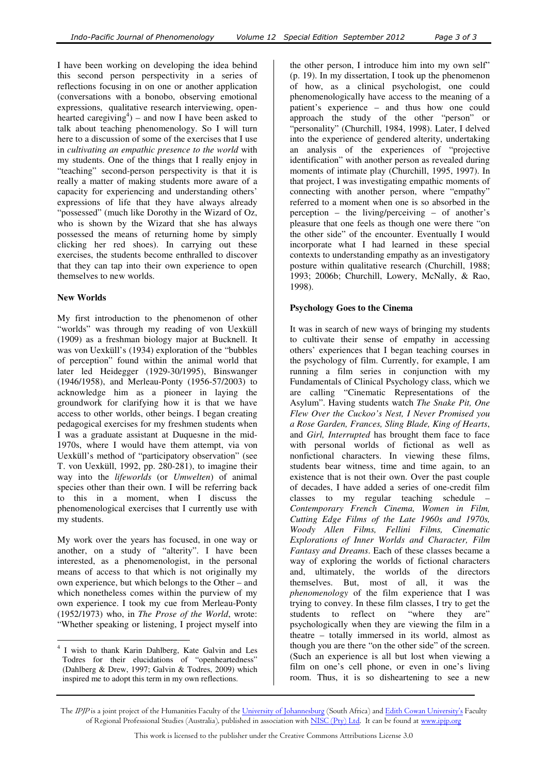I have been working on developing the idea behind this second person perspectivity in a series of reflections focusing in on one or another application (conversations with a bonobo, observing emotional expressions, qualitative research interviewing, openhearted caregiving<sup>4</sup>) – and now I have been asked to talk about teaching phenomenology. So I will turn here to a discussion of some of the exercises that I use in *cultivating an empathic presence to the world* with my students. One of the things that I really enjoy in "teaching" second-person perspectivity is that it is really a matter of making students more aware of a capacity for experiencing and understanding others' expressions of life that they have always already "possessed" (much like Dorothy in the Wizard of Oz, who is shown by the Wizard that she has always possessed the means of returning home by simply clicking her red shoes). In carrying out these exercises, the students become enthralled to discover that they can tap into their own experience to open themselves to new worlds.

# **New Worlds**

My first introduction to the phenomenon of other "worlds" was through my reading of von Uexküll (1909) as a freshman biology major at Bucknell. It was von Uexküll's (1934) exploration of the "bubbles of perception" found within the animal world that later led Heidegger (1929-30/1995), Binswanger (1946/1958), and Merleau-Ponty (1956-57/2003) to acknowledge him as a pioneer in laying the groundwork for clarifying how it is that we have access to other worlds, other beings. I began creating pedagogical exercises for my freshmen students when I was a graduate assistant at Duquesne in the mid-1970s, where I would have them attempt, via von Uexküll's method of "participatory observation" (see T. von Uexküll, 1992, pp. 280-281), to imagine their way into the *lifeworlds* (or *Umwelten*) of animal species other than their own. I will be referring back to this in a moment, when I discuss the phenomenological exercises that I currently use with my students.

My work over the years has focused, in one way or another, on a study of "alterity". I have been interested, as a phenomenologist, in the personal means of access to that which is not originally my own experience, but which belongs to the Other – and which nonetheless comes within the purview of my own experience. I took my cue from Merleau-Ponty (1952/1973) who, in *The Prose of the World*, wrote: "Whether speaking or listening, I project myself into

the other person, I introduce him into my own self" (p. 19). In my dissertation, I took up the phenomenon of how, as a clinical psychologist, one could phenomenologically have access to the meaning of a patient's experience – and thus how one could approach the study of the other "person" or "personality" (Churchill, 1984, 1998). Later, I delved into the experience of gendered alterity, undertaking an analysis of the experiences of "projective identification" with another person as revealed during moments of intimate play (Churchill, 1995, 1997). In that project, I was investigating empathic moments of connecting with another person, where "empathy" referred to a moment when one is so absorbed in the perception – the living/perceiving – of another's pleasure that one feels as though one were there "on the other side" of the encounter. Eventually I would incorporate what I had learned in these special contexts to understanding empathy as an investigatory posture within qualitative research (Churchill, 1988; 1993; 2006b; Churchill, Lowery, McNally, & Rao, 1998).

## **Psychology Goes to the Cinema**

It was in search of new ways of bringing my students to cultivate their sense of empathy in accessing others' experiences that I began teaching courses in the psychology of film. Currently, for example, I am running a film series in conjunction with my Fundamentals of Clinical Psychology class, which we are calling "Cinematic Representations of the Asylum". Having students watch *The Snake Pit, One Flew Over the Cuckoo's Nest, I Never Promised you a Rose Garden, Frances, Sling Blade, King of Hearts*, and *Girl, Interrupted* has brought them face to face with personal worlds of fictional as well as nonfictional characters. In viewing these films, students bear witness, time and time again, to an existence that is not their own. Over the past couple of decades, I have added a series of one-credit film classes to my regular teaching schedule – *Contemporary French Cinema, Women in Film, Cutting Edge Films of the Late 1960s and 1970s, Woody Allen Films, Fellini Films, Cinematic Explorations of Inner Worlds and Character, Film Fantasy and Dreams*. Each of these classes became a way of exploring the worlds of fictional characters and, ultimately, the worlds of the directors themselves. But, most of all, it was the *phenomenology* of the film experience that I was trying to convey. In these film classes, I try to get the students to reflect on "where they are" psychologically when they are viewing the film in a theatre – totally immersed in its world, almost as though you are there "on the other side" of the screen. (Such an experience is all but lost when viewing a film on one's cell phone, or even in one's living room. Thus, it is so disheartening to see a new

 4 I wish to thank Karin Dahlberg, Kate Galvin and Les Todres for their elucidations of "openheartedness" (Dahlberg & Drew, 1997; Galvin & Todres, 2009) which inspired me to adopt this term in my own reflections.

The IPJP is a joint project of the Humanities Faculty of the University of Johannesburg (South Africa) and Edith Cowan University's Faculty of Regional Professional Studies (Australia), published in association with NISC (Pty) Ltd. It can be found at www.ipjp.org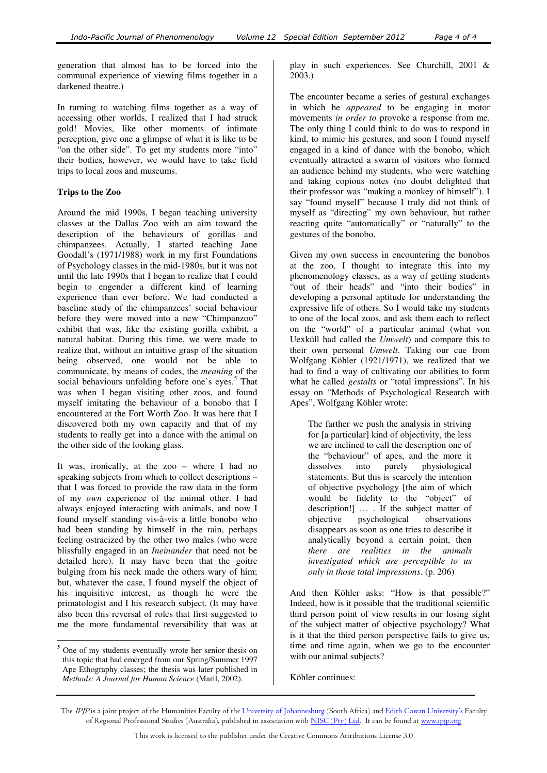generation that almost has to be forced into the communal experience of viewing films together in a darkened theatre.)

In turning to watching films together as a way of accessing other worlds, I realized that I had struck gold! Movies, like other moments of intimate perception, give one a glimpse of what it is like to be "on the other side". To get my students more "into" their bodies, however, we would have to take field trips to local zoos and museums.

## **Trips to the Zoo**

Around the mid 1990s, I began teaching university classes at the Dallas Zoo with an aim toward the description of the behaviours of gorillas and chimpanzees. Actually, I started teaching Jane Goodall's (1971/1988) work in my first Foundations of Psychology classes in the mid-1980s, but it was not until the late 1990s that I began to realize that I could begin to engender a different kind of learning experience than ever before. We had conducted a baseline study of the chimpanzees' social behaviour before they were moved into a new "Chimpanzoo" exhibit that was, like the existing gorilla exhibit, a natural habitat. During this time, we were made to realize that, without an intuitive grasp of the situation being observed, one would not be able to communicate, by means of codes, the *meaning* of the social behaviours unfolding before one's eyes.<sup>5</sup> That was when I began visiting other zoos, and found myself imitating the behaviour of a bonobo that I encountered at the Fort Worth Zoo. It was here that I discovered both my own capacity and that of my students to really get into a dance with the animal on the other side of the looking glass.

It was, ironically, at the zoo – where I had no speaking subjects from which to collect descriptions – that I was forced to provide the raw data in the form of my *own* experience of the animal other. I had always enjoyed interacting with animals, and now I found myself standing vis-à-vis a little bonobo who had been standing by himself in the rain, perhaps feeling ostracized by the other two males (who were blissfully engaged in an *Ineinander* that need not be detailed here). It may have been that the goitre bulging from his neck made the others wary of him; but, whatever the case, I found myself the object of his inquisitive interest, as though he were the primatologist and I his research subject. (It may have also been this reversal of roles that first suggested to me the more fundamental reversibility that was at

 $\overline{a}$ 

play in such experiences. See Churchill, 2001 & 2003.)

The encounter became a series of gestural exchanges in which he *appeared* to be engaging in motor movements *in order to* provoke a response from me. The only thing I could think to do was to respond in kind, to mimic his gestures, and soon I found myself engaged in a kind of dance with the bonobo, which eventually attracted a swarm of visitors who formed an audience behind my students, who were watching and taking copious notes (no doubt delighted that their professor was "making a monkey of himself"). I say "found myself" because I truly did not think of myself as "directing" my own behaviour, but rather reacting quite "automatically" or "naturally" to the gestures of the bonobo.

Given my own success in encountering the bonobos at the zoo, I thought to integrate this into my phenomenology classes, as a way of getting students "out of their heads" and "into their bodies" in developing a personal aptitude for understanding the expressive life of others. So I would take my students to one of the local zoos, and ask them each to reflect on the "world" of a particular animal (what von Uexküll had called the *Umwelt*) and compare this to their own personal *Umwelt*. Taking our cue from Wolfgang Köhler (1921/1971), we realized that we had to find a way of cultivating our abilities to form what he called *gestalts* or "total impressions". In his essay on "Methods of Psychological Research with Apes", Wolfgang Köhler wrote:

The farther we push the analysis in striving for [a particular] kind of objectivity, the less we are inclined to call the description one of the "behaviour" of apes, and the more it dissolves into purely physiological statements. But this is scarcely the intention of objective psychology [the aim of which would be fidelity to the "object" of description!] ... If the subject matter of objective psychological observations psychological disappears as soon as one tries to describe it analytically beyond a certain point, then *there are realities in the animals investigated which are perceptible to us only in those total impressions*. (p. 206)

And then Köhler asks: "How is that possible?" Indeed, how is it possible that the traditional scientific third person point of view results in our losing sight of the subject matter of objective psychology? What is it that the third person perspective fails to give us, time and time again, when we go to the encounter with our animal subjects?

Köhler continues:

<sup>5</sup> One of my students eventually wrote her senior thesis on this topic that had emerged from our Spring/Summer 1997 Ape Ethography classes; the thesis was later published in *Methods: A Journal for Human Science* (Maril, 2002).

The IPJP is a joint project of the Humanities Faculty of the University of Johannesburg (South Africa) and Edith Cowan University's Faculty of Regional Professional Studies (Australia), published in association with NISC (Pty) Ltd. It can be found at www.ipjp.org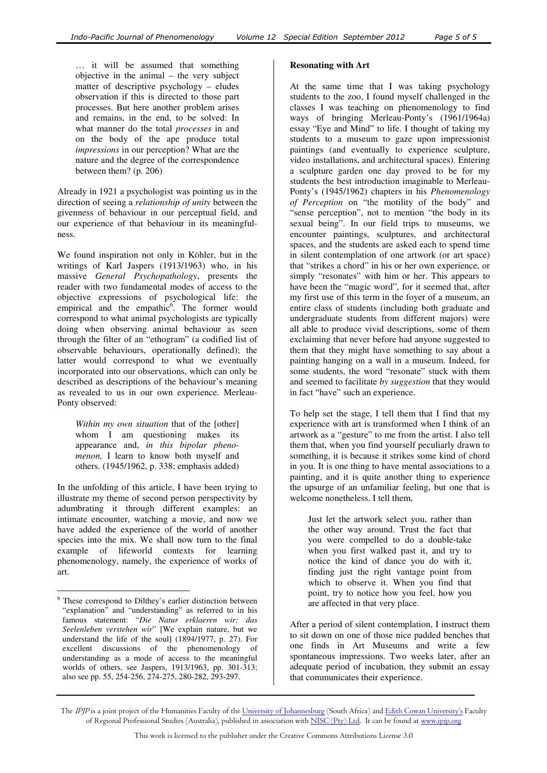… it will be assumed that something objective in the animal – the very subject matter of descriptive psychology – eludes observation if this is directed to those part processes. But here another problem arises and remains, in the end, to be solved: In what manner do the total *processes* in and on the body of the ape produce total *impressions* in our perception? What are the nature and the degree of the correspondence between them? (p. 206)

Already in 1921 a psychologist was pointing us in the direction of seeing a *relationship of unity* between the givenness of behaviour in our perceptual field, and our experience of that behaviour in its meaningfulness.

We found inspiration not only in Köhler, but in the writings of Karl Jaspers (1913/1963) who, in his massive *General Psychopathology*, presents the reader with two fundamental modes of access to the objective expressions of psychological life: the empirical and the empathic<sup>6</sup>. The former would correspond to what animal psychologists are typically doing when observing animal behaviour as seen through the filter of an "ethogram" (a codified list of observable behaviours, operationally defined); the latter would correspond to what we eventually incorporated into our observations, which can only be described as descriptions of the behaviour's meaning as revealed to us in our own experience. Merleau-Ponty observed:

*Within my own situation* that of the [other] whom I am questioning makes its appearance and, *in this bipolar phenomenon,* I learn to know both myself and others. (1945/1962, p. 338; emphasis added)

In the unfolding of this article, I have been trying to illustrate my theme of second person perspectivity by adumbrating it through different examples: an intimate encounter, watching a movie, and now we have added the experience of the world of another species into the mix. We shall now turn to the final example of lifeworld contexts for learning phenomenology, namely, the experience of works of art.

## **Resonating with Art**

At the same time that I was taking psychology students to the zoo, I found myself challenged in the classes I was teaching on phenomenology to find ways of bringing Merleau-Ponty's (1961/1964a) essay "Eye and Mind" to life. I thought of taking my students to a museum to gaze upon impressionist paintings (and eventually to experience sculpture, video installations, and architectural spaces). Entering a sculpture garden one day proved to be for my students the best introduction imaginable to Merleau-Ponty's (1945/1962) chapters in his *Phenomenology of Perception* on "the motility of the body" and "sense perception", not to mention "the body in its sexual being". In our field trips to museums, we encounter paintings, sculptures, and architectural spaces, and the students are asked each to spend time in silent contemplation of one artwork (or art space) that "strikes a chord" in his or her own experience, or simply "resonates" with him or her. This appears to have been the "magic word", for it seemed that, after my first use of this term in the foyer of a museum, an entire class of students (including both graduate and undergraduate students from different majors) were all able to produce vivid descriptions, some of them exclaiming that never before had anyone suggested to them that they might have something to say about a painting hanging on a wall in a museum. Indeed, for some students, the word "resonate" stuck with them and seemed to facilitate *by suggestion* that they would in fact "have" such an experience.

To help set the stage, I tell them that I find that my experience with art is transformed when I think of an artwork as a "gesture" to me from the artist. I also tell them that, when you find yourself peculiarly drawn to something, it is because it strikes some kind of chord in you. It is one thing to have mental associations to a painting, and it is quite another thing to experience the upsurge of an unfamiliar feeling, but one that is welcome nonetheless. I tell them,

Just let the artwork select you, rather than the other way around. Trust the fact that you were compelled to do a double-take when you first walked past it, and try to notice the kind of dance you do with it, finding just the right vantage point from which to observe it. When you find that point, try to notice how you feel, how you are affected in that very place.

After a period of silent contemplation, I instruct them to sit down on one of those nice padded benches that one finds in Art Museums and write a few spontaneous impressions. Two weeks later, after an adequate period of incubation, they submit an essay that communicates their experience.

 $\overline{a}$ <sup>6</sup> These correspond to Dilthey's earlier distinction between "explanation" and "understanding" as referred to in his famous statement: "*Die Natur erklaeren wir; das Seelenleben verstehen wir*" [We explain nature, but we understand the life of the soul] (1894/1977, p. 27). For excellent discussions of the phenomenology of understanding as a mode of access to the meaningful worlds of others, see Jaspers, 1913/1963, pp. 301-313; also see pp. 55, 254-256, 274-275, 280-282, 293-297.

The *IPJP* is a joint project of the Humanities Faculty of the <u>University of Johannesburg</u> (South Africa) and <u>Edith Cowan University's</u> Faculty of Regional Professional Studies (Australia), published in association with <u>NISC (Pty) Ltd</u>. It can be found at <u>www.ipjp.org</u>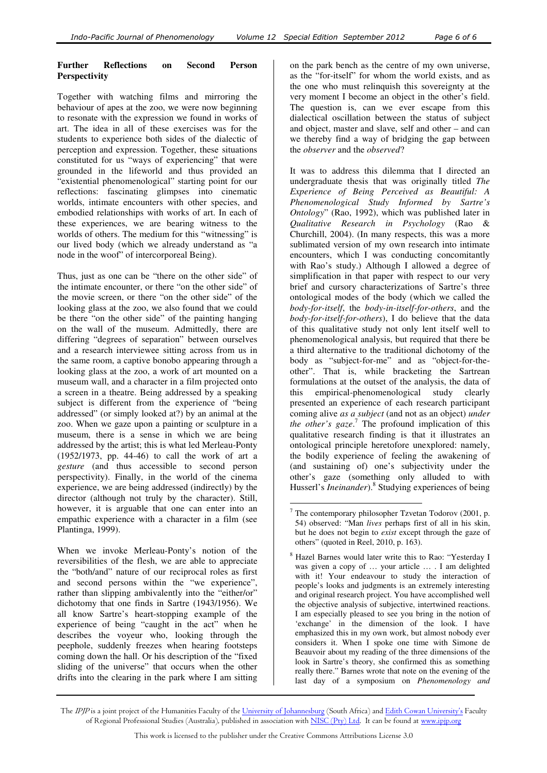## **Further Reflections on Second Person Perspectivity**

Together with watching films and mirroring the behaviour of apes at the zoo, we were now beginning to resonate with the expression we found in works of art. The idea in all of these exercises was for the students to experience both sides of the dialectic of perception and expression. Together, these situations constituted for us "ways of experiencing" that were grounded in the lifeworld and thus provided an "existential phenomenological" starting point for our reflections: fascinating glimpses into cinematic worlds, intimate encounters with other species, and embodied relationships with works of art. In each of these experiences, we are bearing witness to the worlds of others. The medium for this "witnessing" is our lived body (which we already understand as "a node in the woof" of intercorporeal Being).

Thus, just as one can be "there on the other side" of the intimate encounter, or there "on the other side" of the movie screen, or there "on the other side" of the looking glass at the zoo, we also found that we could be there "on the other side" of the painting hanging on the wall of the museum. Admittedly, there are differing "degrees of separation" between ourselves and a research interviewee sitting across from us in the same room, a captive bonobo appearing through a looking glass at the zoo, a work of art mounted on a museum wall, and a character in a film projected onto a screen in a theatre. Being addressed by a speaking subject is different from the experience of "being addressed" (or simply looked at?) by an animal at the zoo. When we gaze upon a painting or sculpture in a museum, there is a sense in which we are being addressed by the artist; this is what led Merleau-Ponty (1952/1973, pp. 44-46) to call the work of art a *gesture* (and thus accessible to second person perspectivity). Finally, in the world of the cinema experience, we are being addressed (indirectly) by the director (although not truly by the character). Still, however, it is arguable that one can enter into an empathic experience with a character in a film (see Plantinga, 1999).

When we invoke Merleau-Ponty's notion of the reversibilities of the flesh, we are able to appreciate the "both/and" nature of our reciprocal roles as first and second persons within the "we experience", rather than slipping ambivalently into the "either/or" dichotomy that one finds in Sartre (1943/1956). We all know Sartre's heart-stopping example of the experience of being "caught in the act" when he describes the voyeur who, looking through the peephole, suddenly freezes when hearing footsteps coming down the hall. Or his description of the "fixed sliding of the universe" that occurs when the other drifts into the clearing in the park where I am sitting

on the park bench as the centre of my own universe, as the "for-itself" for whom the world exists, and as the one who must relinquish this sovereignty at the very moment I become an object in the other's field. The question is, can we ever escape from this dialectical oscillation between the status of subject and object, master and slave, self and other – and can we thereby find a way of bridging the gap between the *observer* and the *observed*?

It was to address this dilemma that I directed an undergraduate thesis that was originally titled *The Experience of Being Perceived as Beautiful: A Phenomenological Study Informed by Sartre's Ontology*" (Rao, 1992), which was published later in *Qualitative Research in Psychology* (Rao & Churchill, 2004). (In many respects, this was a more sublimated version of my own research into intimate encounters, which I was conducting concomitantly with Rao's study.) Although I allowed a degree of simplification in that paper with respect to our very brief and cursory characterizations of Sartre's three ontological modes of the body (which we called the *body-for-itself*, the *body-in-itself-for-others*, and the *body-for-itself-for-others*), I do believe that the data of this qualitative study not only lent itself well to phenomenological analysis, but required that there be a third alternative to the traditional dichotomy of the body as "subject-for-me" and as "object-for-theother". That is, while bracketing the Sartrean formulations at the outset of the analysis, the data of this empirical-phenomenological study clearly presented an experience of each research participant coming alive *as a subject* (and not as an object) *under the other's gaze*. 7 The profound implication of this qualitative research finding is that it illustrates an ontological principle heretofore unexplored: namely, the bodily experience of feeling the awakening of (and sustaining of) one's subjectivity under the other's gaze (something only alluded to with Husserl's *Ineinander*).<sup>8</sup> Studying experiences of being

 $\overline{a}$ 

 $7$  The contemporary philosopher Tzvetan Todorov (2001, p. 54) observed: "Man *lives* perhaps first of all in his skin, but he does not begin to *exist* except through the gaze of others" (quoted in Reel, 2010, p. 163).

<sup>8</sup> Hazel Barnes would later write this to Rao: "Yesterday I was given a copy of … your article … . I am delighted with it! Your endeavour to study the interaction of people's looks and judgments is an extremely interesting and original research project. You have accomplished well the objective analysis of subjective, intertwined reactions. I am especially pleased to see you bring in the notion of 'exchange' in the dimension of the look. I have emphasized this in my own work, but almost nobody ever considers it. When I spoke one time with Simone de Beauvoir about my reading of the three dimensions of the look in Sartre's theory, she confirmed this as something really there." Barnes wrote that note on the evening of the last day of a symposium on *Phenomenology and* 

The IPJP is a joint project of the Humanities Faculty of the University of Johannesburg (South Africa) and Edith Cowan University's Faculty of Regional Professional Studies (Australia), published in association with NISC (Pty) Ltd. It can be found at www.ipjp.org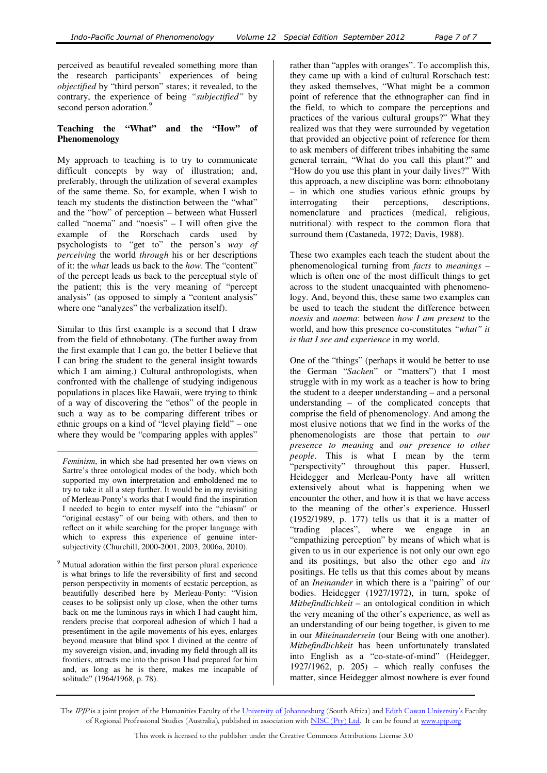perceived as beautiful revealed something more than the research participants' experiences of being *objectified* by "third person" stares; it revealed, to the contrary, the experience of being *"subjectified"* by second person adoration.<sup>9</sup>

#### **Teaching the "What" and the "How" of Phenomenology**

My approach to teaching is to try to communicate difficult concepts by way of illustration; and, preferably, through the utilization of several examples of the same theme. So, for example, when I wish to teach my students the distinction between the "what" and the "how" of perception – between what Husserl called "noema" and "noesis" – I will often give the example of the Rorschach cards used by psychologists to "get to" the person's *way of perceiving* the world *through* his or her descriptions of it: the *what* leads us back to the *how*. The "content" of the percept leads us back to the perceptual style of the patient; this is the very meaning of "percept analysis" (as opposed to simply a "content analysis" where one "analyzes" the verbalization itself).

Similar to this first example is a second that I draw from the field of ethnobotany. (The further away from the first example that I can go, the better I believe that I can bring the student to the general insight towards which I am aiming.) Cultural anthropologists, when confronted with the challenge of studying indigenous populations in places like Hawaii, were trying to think of a way of discovering the "ethos" of the people in such a way as to be comparing different tribes or ethnic groups on a kind of "level playing field" – one where they would be "comparing apples with apples"

 $\overline{a}$ 

<sup>9</sup> Mutual adoration within the first person plural experience is what brings to life the reversibility of first and second person perspectivity in moments of ecstatic perception, as beautifully described here by Merleau-Ponty: "Vision ceases to be solipsist only up close, when the other turns back on me the luminous rays in which I had caught him, renders precise that corporeal adhesion of which I had a presentiment in the agile movements of his eyes, enlarges beyond measure that blind spot I divined at the centre of my sovereign vision, and, invading my field through all its frontiers, attracts me into the prison I had prepared for him and, as long as he is there, makes me incapable of solitude" (1964/1968, p. 78).

rather than "apples with oranges". To accomplish this, they came up with a kind of cultural Rorschach test: they asked themselves, "What might be a common point of reference that the ethnographer can find in the field, to which to compare the perceptions and practices of the various cultural groups?" What they realized was that they were surrounded by vegetation that provided an objective point of reference for them to ask members of different tribes inhabiting the same general terrain, "What do you call this plant?" and "How do you use this plant in your daily lives?" With this approach, a new discipline was born: ethnobotany – in which one studies various ethnic groups by interrogating their perceptions, descriptions, nomenclature and practices (medical, religious, nutritional) with respect to the common flora that surround them (Castaneda, 1972; Davis, 1988).

These two examples each teach the student about the phenomenological turning from *facts* to *meanings* – which is often one of the most difficult things to get across to the student unacquainted with phenomenology. And, beyond this, these same two examples can be used to teach the student the difference between *noesis* and *noema*: between *how I am present* to the world, and how this presence co-constitutes *"what" it is that I see and experience* in my world.

One of the "things" (perhaps it would be better to use the German "*Sachen*" or "matters") that I most struggle with in my work as a teacher is how to bring the student to a deeper understanding – and a personal understanding – of the complicated concepts that comprise the field of phenomenology. And among the most elusive notions that we find in the works of the phenomenologists are those that pertain to *our presence to meaning* and *our presence to other people*. This is what I mean by the term "perspectivity" throughout this paper. Husserl, Heidegger and Merleau-Ponty have all written extensively about what is happening when we encounter the other, and how it is that we have access to the meaning of the other's experience. Husserl (1952/1989, p. 177) tells us that it is a matter of "trading places", where we engage in an "empathizing perception" by means of which what is given to us in our experience is not only our own ego and its positings, but also the other ego and *its* positings. He tells us that this comes about by means of an *Ineinander* in which there is a "pairing" of our bodies. Heidegger (1927/1972), in turn, spoke of *Mitbefindlichkeit* – an ontological condition in which the very meaning of the other's experience, as well as an understanding of our being together, is given to me in our *Miteinandersein* (our Being with one another). *Mitbefindlichkeit* has been unfortunately translated into English as a "co-state-of-mind" (Heidegger, 1927/1962, p. 205) – which really confuses the matter, since Heidegger almost nowhere is ever found

*Feminism*, in which she had presented her own views on Sartre's three ontological modes of the body, which both supported my own interpretation and emboldened me to try to take it all a step further. It would be in my revisiting of Merleau-Ponty's works that I would find the inspiration I needed to begin to enter myself into the "chiasm" or "original ecstasy" of our being with others, and then to reflect on it while searching for the proper language with which to express this experience of genuine intersubjectivity (Churchill, 2000-2001, 2003, 2006a, 2010).

The *IPJP* is a joint project of the Humanities Faculty of the <u>University of Johannesburg</u> (South Africa) and <u>Edith Cowan University's</u> Faculty of Regional Professional Studies (Australia), published in association with <u>NISC (Pty) Ltd</u>. It can be found at <u>www.ipjp.org</u>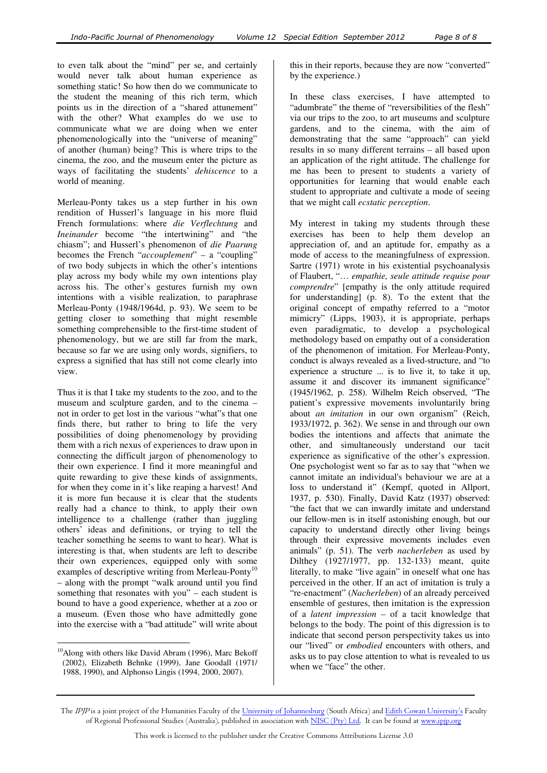to even talk about the "mind" per se, and certainly would never talk about human experience as something static! So how then do we communicate to the student the meaning of this rich term, which points us in the direction of a "shared attunement" with the other? What examples do we use to communicate what we are doing when we enter phenomenologically into the "universe of meaning" of another (human) being? This is where trips to the cinema, the zoo, and the museum enter the picture as ways of facilitating the students' *dehiscence* to a world of meaning.

Merleau-Ponty takes us a step further in his own rendition of Husserl's language in his more fluid French formulations: where *die Verflechtung* and *Ineinander* become "the intertwining" and "the chiasm"; and Husserl's phenomenon of *die Paarung* becomes the French "*accouplement*" – a "coupling" of two body subjects in which the other's intentions play across my body while my own intentions play across his. The other's gestures furnish my own intentions with a visible realization, to paraphrase Merleau-Ponty (1948/1964d, p. 93). We seem to be getting closer to something that might resemble something comprehensible to the first-time student of phenomenology, but we are still far from the mark, because so far we are using only words, signifiers, to express a signified that has still not come clearly into view.

Thus it is that I take my students to the zoo, and to the museum and sculpture garden, and to the cinema – not in order to get lost in the various "what"s that one finds there, but rather to bring to life the very possibilities of doing phenomenology by providing them with a rich nexus of experiences to draw upon in connecting the difficult jargon of phenomenology to their own experience. I find it more meaningful and quite rewarding to give these kinds of assignments, for when they come in it's like reaping a harvest! And it is more fun because it is clear that the students really had a chance to think, to apply their own intelligence to a challenge (rather than juggling others' ideas and definitions, or trying to tell the teacher something he seems to want to hear). What is interesting is that, when students are left to describe their own experiences, equipped only with some examples of descriptive writing from Merleau-Ponty<sup>10</sup> – along with the prompt "walk around until you find something that resonates with you" – each student is bound to have a good experience, whether at a zoo or a museum. (Even those who have admittedly gone into the exercise with a "bad attitude" will write about

 $\overline{a}$ 

this in their reports, because they are now "converted" by the experience.)

In these class exercises, I have attempted to "adumbrate" the theme of "reversibilities of the flesh" via our trips to the zoo, to art museums and sculpture gardens, and to the cinema, with the aim of demonstrating that the same "approach" can yield results in so many different terrains – all based upon an application of the right attitude. The challenge for me has been to present to students a variety of opportunities for learning that would enable each student to appropriate and cultivate a mode of seeing that we might call *ecstatic perception*.

My interest in taking my students through these exercises has been to help them develop an appreciation of, and an aptitude for, empathy as a mode of access to the meaningfulness of expression. Sartre (1971) wrote in his existential psychoanalysis of Flaubert, "… *empathie, seule attitude requise pour comprendre*" [empathy is the only attitude required for understanding] (p. 8). To the extent that the original concept of empathy referred to a "motor mimicry" (Lipps, 1903), it is appropriate, perhaps even paradigmatic, to develop a psychological methodology based on empathy out of a consideration of the phenomenon of imitation. For Merleau-Ponty, conduct is always revealed as a lived-structure, and "to experience a structure ... is to live it, to take it up, assume it and discover its immanent significance" (1945/1962, p. 258). Wilhelm Reich observed, "The patient's expressive movements involuntarily bring about *an imitation* in our own organism" (Reich, 1933/1972, p. 362). We sense in and through our own bodies the intentions and affects that animate the other, and simultaneously understand our tacit experience as significative of the other's expression. One psychologist went so far as to say that "when we cannot imitate an individual's behaviour we are at a loss to understand it" (Kempf, quoted in Allport, 1937, p. 530). Finally, David Katz (1937) observed: "the fact that we can inwardly imitate and understand our fellow-men is in itself astonishing enough, but our capacity to understand directly other living beings through their expressive movements includes even animals" (p. 51). The verb *nacherleben* as used by Dilthey (1927/1977, pp. 132-133) meant, quite literally, to make "live again" in oneself what one has perceived in the other. If an act of imitation is truly a "re-enactment" (*Nacherleben*) of an already perceived ensemble of gestures, then imitation is the expression of a *latent impression* – of a tacit knowledge that belongs to the body. The point of this digression is to indicate that second person perspectivity takes us into our "lived" or *embodied* encounters with others, and asks us to pay close attention to what is revealed to us when we "face" the other.

<sup>&</sup>lt;sup>10</sup>Along with others like David Abram (1996), Marc Bekoff (2002), Elizabeth Behnke (1999), Jane Goodall (1971/ 1988, 1990), and Alphonso Lingis (1994, 2000, 2007).

The *IPJP* is a joint project of the Humanities Faculty of the <u>University of Johannesburg</u> (South Africa) and <u>Edith Cowan University's</u> Faculty of Regional Professional Studies (Australia), published in association with <u>NISC (Pty) Ltd</u>. It can be found at <u>www.ipjp.org</u>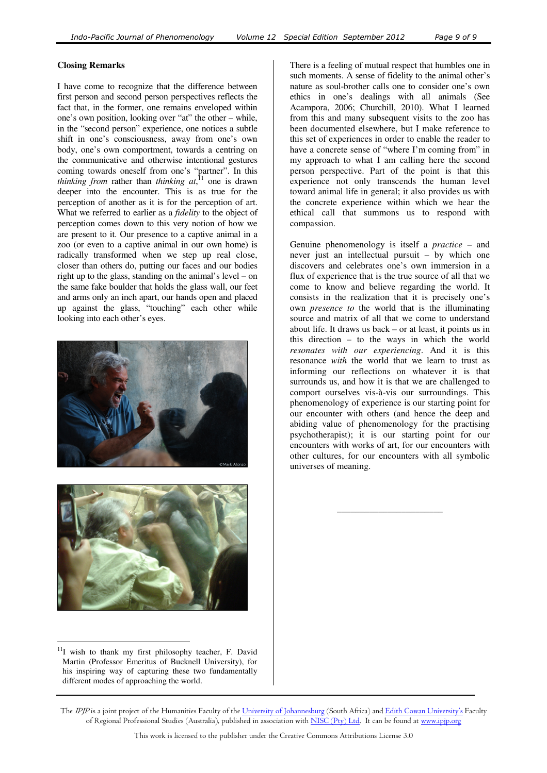# **Closing Remarks**

I have come to recognize that the difference between first person and second person perspectives reflects the fact that, in the former, one remains enveloped within one's own position, looking over "at" the other – while, in the "second person" experience, one notices a subtle shift in one's consciousness, away from one's own body, one's own comportment, towards a centring on the communicative and otherwise intentional gestures coming towards oneself from one's "partner". In this *thinking from* rather than *thinking at*, <sup>11</sup> one is drawn deeper into the encounter. This is as true for the perception of another as it is for the perception of art. What we referred to earlier as a *fidelity* to the object of perception comes down to this very notion of how we are present to it. Our presence to a captive animal in a zoo (or even to a captive animal in our own home) is radically transformed when we step up real close, closer than others do, putting our faces and our bodies right up to the glass, standing on the animal's level – on the same fake boulder that holds the glass wall, our feet and arms only an inch apart, our hands open and placed up against the glass, "touching" each other while looking into each other's eyes.





 $\overline{a}$  $11$ I wish to thank my first philosophy teacher, F. David Martin (Professor Emeritus of Bucknell University), for his inspiring way of capturing these two fundamentally different modes of approaching the world.

There is a feeling of mutual respect that humbles one in such moments. A sense of fidelity to the animal other's nature as soul-brother calls one to consider one's own ethics in one's dealings with all animals (See Acampora, 2006; Churchill, 2010). What I learned from this and many subsequent visits to the zoo has been documented elsewhere, but I make reference to this set of experiences in order to enable the reader to have a concrete sense of "where I'm coming from" in my approach to what I am calling here the second person perspective. Part of the point is that this experience not only transcends the human level toward animal life in general; it also provides us with the concrete experience within which we hear the ethical call that summons us to respond with compassion.

Genuine phenomenology is itself a *practice* – and never just an intellectual pursuit – by which one discovers and celebrates one's own immersion in a flux of experience that is the true source of all that we come to know and believe regarding the world. It consists in the realization that it is precisely one's own *presence to* the world that is the illuminating source and matrix of all that we come to understand about life. It draws us back – or at least, it points us in this direction – to the ways in which the world *resonates with our experiencing*. And it is this resonance *with* the world that we learn to trust as informing our reflections on whatever it is that surrounds us, and how it is that we are challenged to comport ourselves vis-à-vis our surroundings. This phenomenology of experience is our starting point for our encounter with others (and hence the deep and abiding value of phenomenology for the practising psychotherapist); it is our starting point for our encounters with works of art, for our encounters with other cultures, for our encounters with all symbolic universes of meaning.



The IPJP is a joint project of the Humanities Faculty of the University of Johannesburg (South Africa) and Edith Cowan University's Faculty of Regional Professional Studies (Australia), published in association with NISC (Pty) Ltd. It can be found at www.ipjp.org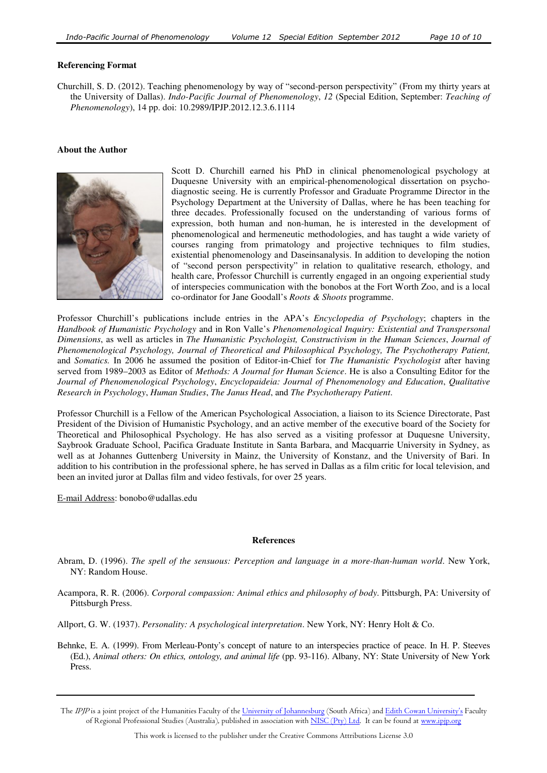#### **Referencing Format**

Churchill, S. D. (2012). Teaching phenomenology by way of "second-person perspectivity" (From my thirty years at the University of Dallas). *Indo-Pacific Journal of Phenomenology*, *12* (Special Edition, September: *Teaching of Phenomenology*), 14 pp. doi: 10.2989/IPJP.2012.12.3.6.1114

#### **About the Author**



Scott D. Churchill earned his PhD in clinical phenomenological psychology at Duquesne University with an empirical-phenomenological dissertation on psychodiagnostic seeing. He is currently Professor and Graduate Programme Director in the Psychology Department at the University of Dallas, where he has been teaching for three decades. Professionally focused on the understanding of various forms of expression, both human and non-human, he is interested in the development of phenomenological and hermeneutic methodologies, and has taught a wide variety of courses ranging from primatology and projective techniques to film studies, existential phenomenology and Daseinsanalysis. In addition to developing the notion of "second person perspectivity" in relation to qualitative research, ethology, and health care, Professor Churchill is currently engaged in an ongoing experiential study of interspecies communication with the bonobos at the Fort Worth Zoo, and is a local co-ordinator for Jane Goodall's *Roots & Shoots* programme.

Professor Churchill's publications include entries in the APA's *Encyclopedia of Psychology*; chapters in the *Handbook of Humanistic Psychology* and in Ron Valle's *Phenomenological Inquiry: Existential and Transpersonal Dimensions*, as well as articles in *The Humanistic Psychologist, Constructivism in the Human Sciences*, *Journal of Phenomenological Psychology, Journal of Theoretical and Philosophical Psychology, The Psychotherapy Patient,*  and *Somatics.* In 2006 he assumed the position of Editor-in-Chief for *The Humanistic Psychologist* after having served from 1989–2003 as Editor of *Methods: A Journal for Human Science*. He is also a Consulting Editor for the *Journal of Phenomenological Psychology*, *Encyclopaideia: Journal of Phenomenology and Education*, *Qualitative Research in Psychology*, *Human Studies*, *The Janus Head*, and *The Psychotherapy Patient*.

Professor Churchill is a Fellow of the American Psychological Association, a liaison to its Science Directorate, Past President of the Division of Humanistic Psychology, and an active member of the executive board of the Society for Theoretical and Philosophical Psychology. He has also served as a visiting professor at Duquesne University, Saybrook Graduate School, Pacifica Graduate Institute in Santa Barbara, and Macquarrie University in Sydney, as well as at Johannes Guttenberg University in Mainz, the University of Konstanz, and the University of Bari. In addition to his contribution in the professional sphere, he has served in Dallas as a film critic for local television, and been an invited juror at Dallas film and video festivals, for over 25 years.

E-mail Address: bonobo@udallas.edu

#### **References**

- Abram, D. (1996). *The spell of the sensuous: Perception and language in a more-than-human world*. New York, NY: Random House.
- Acampora, R. R. (2006). *Corporal compassion: Animal ethics and philosophy of body*. Pittsburgh, PA: University of Pittsburgh Press.
- Allport, G. W. (1937). *Personality: A psychological interpretation*. New York, NY: Henry Holt & Co.
- Behnke, E. A. (1999). From Merleau-Ponty's concept of nature to an interspecies practice of peace. In H. P. Steeves (Ed.), *Animal others: On ethics, ontology, and animal life* (pp. 93-116). Albany, NY: State University of New York Press.

The IPJP is a joint project of the Humanities Faculty of the University of Johannesburg (South Africa) and Edith Cowan University's Faculty of Regional Professional Studies (Australia), published in association with NISC (Pty) Ltd. It can be found at www.ipjp.org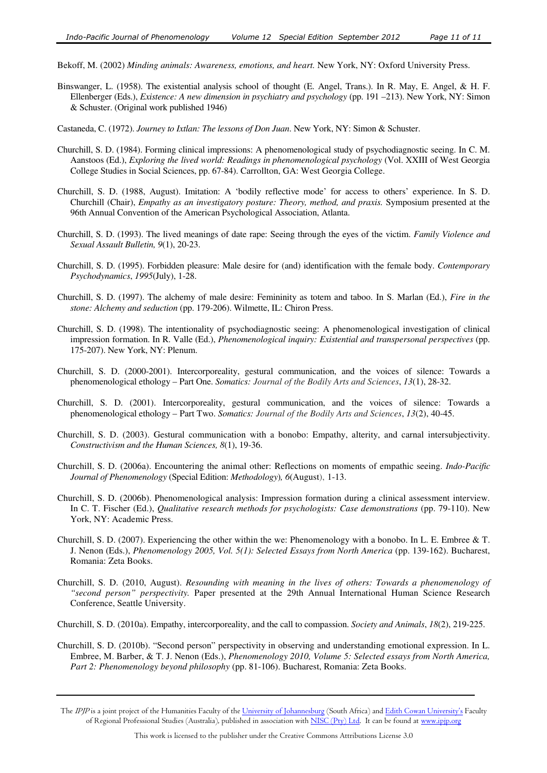- Bekoff, M. (2002) *Minding animals: Awareness, emotions, and heart.* New York, NY: Oxford University Press.
- Binswanger, L. (1958). The existential analysis school of thought (E. Angel, Trans.). In R. May, E. Angel, & H. F. Ellenberger (Eds.), *Existence: A new dimension in psychiatry and psychology* (pp. 191 –213). New York, NY: Simon & Schuster. (Original work published 1946)

Castaneda, C. (1972). *Journey to Ixtlan: The lessons of Don Juan*. New York, NY: Simon & Schuster.

- Churchill, S. D. (1984). Forming clinical impressions: A phenomenological study of psychodiagnostic seeing. In C. M. Aanstoos (Ed.), *Exploring the lived world: Readings in phenomenological psychology* (Vol. XXIII of West Georgia College Studies in Social Sciences, pp. 67-84). Carrollton, GA: West Georgia College.
- Churchill, S. D. (1988, August). Imitation: A 'bodily reflective mode' for access to others' experience. In S. D. Churchill (Chair), *Empathy as an investigatory posture: Theory, method, and praxis.* Symposium presented at the 96th Annual Convention of the American Psychological Association, Atlanta.
- Churchill, S. D. (1993). The lived meanings of date rape: Seeing through the eyes of the victim. *Family Violence and Sexual Assault Bulletin, 9*(1), 20-23.
- Churchill, S. D. (1995). Forbidden pleasure: Male desire for (and) identification with the female body. *Contemporary Psychodynamics*, *1995*(July), 1-28.
- Churchill, S. D. (1997). The alchemy of male desire: Femininity as totem and taboo. In S. Marlan (Ed.), *Fire in the stone: Alchemy and seduction* (pp. 179-206). Wilmette, IL: Chiron Press.
- Churchill, S. D. (1998). The intentionality of psychodiagnostic seeing: A phenomenological investigation of clinical impression formation. In R. Valle (Ed.), *Phenomenological inquiry: Existential and transpersonal perspectives* (pp. 175-207). New York, NY: Plenum.
- Churchill, S. D. (2000-2001). Intercorporeality, gestural communication, and the voices of silence: Towards a phenomenological ethology – Part One. *Somatics: Journal of the Bodily Arts and Sciences*, *13*(1), 28-32.
- Churchill, S. D. (2001). Intercorporeality, gestural communication, and the voices of silence: Towards a phenomenological ethology – Part Two. *Somatics: Journal of the Bodily Arts and Sciences*, *13*(2), 40-45.
- Churchill, S. D. (2003). Gestural communication with a bonobo: Empathy, alterity, and carnal intersubjectivity. *Constructivism and the Human Sciences, 8*(1), 19-36.
- Churchill, S. D. (2006a). Encountering the animal other: Reflections on moments of empathic seeing. *Indo-Pacific Journal of Phenomenology* (Special Edition: *Methodology*)*, 6*(August), 1-13.
- Churchill, S. D. (2006b). Phenomenological analysis: Impression formation during a clinical assessment interview. In C. T. Fischer (Ed.), *Qualitative research methods for psychologists: Case demonstrations* (pp. 79-110). New York, NY: Academic Press.
- Churchill, S. D. (2007). Experiencing the other within the we: Phenomenology with a bonobo. In L. E. Embree & T. J. Nenon (Eds.), *Phenomenology 2005, Vol. 5(1): Selected Essays from North America* (pp. 139-162). Bucharest, Romania: Zeta Books.
- Churchill, S. D. (2010, August). *Resounding with meaning in the lives of others: Towards a phenomenology of "second person" perspectivity.* Paper presented at the 29th Annual International Human Science Research Conference, Seattle University.
- Churchill, S. D. (2010a). Empathy, intercorporeality, and the call to compassion. *Society and Animals*, *18*(2), 219-225.
- Churchill, S. D. (2010b). "Second person" perspectivity in observing and understanding emotional expression. In L. Embree, M. Barber, & T. J. Nenon (Eds.), *Phenomenology 2010, Volume 5: Selected essays from North America, Part 2: Phenomenology beyond philosophy* (pp. 81-106). Bucharest, Romania: Zeta Books.

The IPJP is a joint project of the Humanities Faculty of the University of Johannesburg (South Africa) and Edith Cowan University's Faculty of Regional Professional Studies (Australia), published in association with NISC (Pty) Ltd. It can be found at www.ipjp.org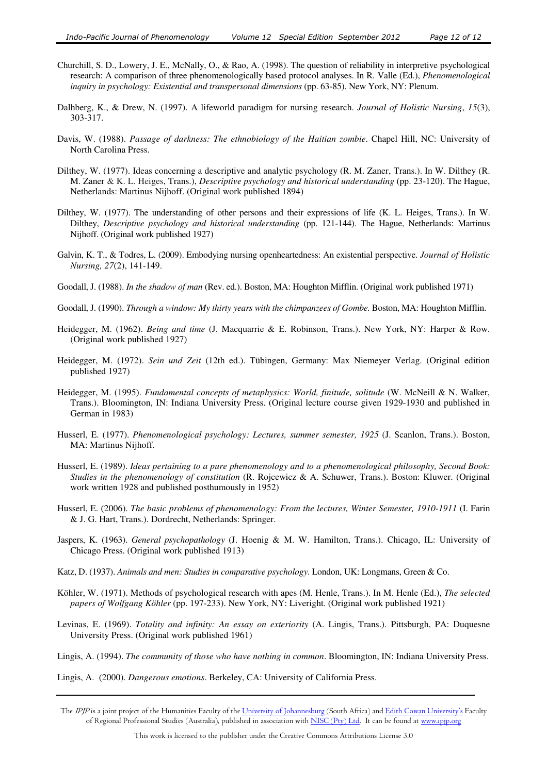- Churchill, S. D., Lowery, J. E., McNally, O., & Rao, A. (1998). The question of reliability in interpretive psychological research: A comparison of three phenomenologically based protocol analyses. In R. Valle (Ed.), *Phenomenological inquiry in psychology: Existential and transpersonal dimensions* (pp. 63-85). New York, NY: Plenum.
- Dalhberg, K., & Drew, N. (1997). A lifeworld paradigm for nursing research. *Journal of Holistic Nursing*, *15*(3), 303-317.
- Davis, W. (1988). *Passage of darkness: The ethnobiology of the Haitian zombie*. Chapel Hill, NC: University of North Carolina Press.
- Dilthey, W. (1977). Ideas concerning a descriptive and analytic psychology (R. M. Zaner, Trans.). In W. Dilthey (R. M. Zaner & K. L. Heiges, Trans.), *Descriptive psychology and historical understanding* (pp. 23-120). The Hague, Netherlands: Martinus Nijhoff. (Original work published 1894)
- Dilthey, W. (1977). The understanding of other persons and their expressions of life (K. L. Heiges, Trans.). In W. Dilthey, *Descriptive psychology and historical understanding* (pp. 121-144). The Hague, Netherlands: Martinus Nijhoff. (Original work published 1927)
- Galvin, K. T., & Todres, L. (2009). Embodying nursing openheartedness: An existential perspective. *Journal of Holistic Nursing, 27*(2), 141-149.
- Goodall, J. (1988). *In the shadow of man* (Rev. ed.). Boston, MA: Houghton Mifflin. (Original work published 1971)
- Goodall, J. (1990). *Through a window: My thirty years with the chimpanzees of Gombe*. Boston, MA: Houghton Mifflin.
- Heidegger, M. (1962). *Being and time* (J. Macquarrie & E. Robinson, Trans.). New York, NY: Harper & Row. (Original work published 1927)
- Heidegger, M. (1972). *Sein und Zeit* (12th ed.). Tübingen, Germany: Max Niemeyer Verlag. (Original edition published 1927)
- Heidegger, M. (1995). *Fundamental concepts of metaphysics: World, finitude, solitude* (W. McNeill & N. Walker, Trans.). Bloomington, IN: Indiana University Press. (Original lecture course given 1929-1930 and published in German in 1983)
- Husserl, E. (1977). *Phenomenological psychology: Lectures, summer semester, 1925* (J. Scanlon, Trans.). Boston, MA: Martinus Nijhoff.
- Husserl, E. (1989). *Ideas pertaining to a pure phenomenology and to a phenomenological philosophy, Second Book: Studies in the phenomenology of constitution* (R. Rojcewicz & A. Schuwer, Trans.). Boston: Kluwer. (Original work written 1928 and published posthumously in 1952)
- Husserl, E. (2006). *The basic problems of phenomenology: From the lectures, Winter Semester, 1910-1911* (I. Farin & J. G. Hart, Trans.). Dordrecht, Netherlands: Springer.
- Jaspers, K. (1963). *General psychopathology* (J. Hoenig & M. W. Hamilton, Trans.). Chicago, IL: University of Chicago Press. (Original work published 1913)
- Katz, D. (1937). *Animals and men: Studies in comparative psychology*. London, UK: Longmans, Green & Co.
- Köhler, W. (1971). Methods of psychological research with apes (M. Henle, Trans.). In M. Henle (Ed.), *The selected papers of Wolfgang Köhler* (pp. 197-233). New York, NY: Liveright. (Original work published 1921)
- Levinas, E. (1969). *Totality and infinity: An essay on exteriority* (A. Lingis, Trans.). Pittsburgh, PA: Duquesne University Press. (Original work published 1961)
- Lingis, A. (1994). *The community of those who have nothing in common*. Bloomington, IN: Indiana University Press.

Lingis, A. (2000). *Dangerous emotions*. Berkeley, CA: University of California Press.

The IPJP is a joint project of the Humanities Faculty of the University of Johannesburg (South Africa) and Edith Cowan University's Faculty of Regional Professional Studies (Australia), published in association with NISC (Pty) Ltd. It can be found at www.ipjp.org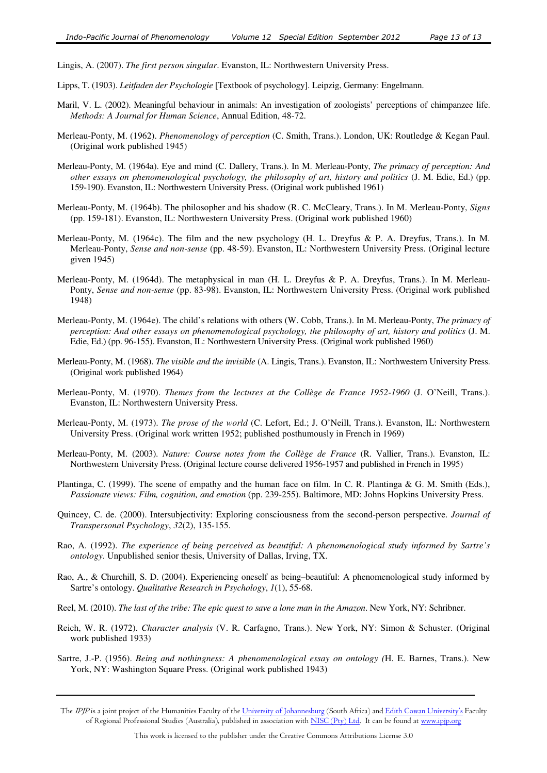Lingis, A. (2007). *The first person singular*. Evanston, IL: Northwestern University Press.

- Lipps, T. (1903). *Leitfaden der Psychologie* [Textbook of psychology]. Leipzig, Germany: Engelmann.
- Maril, V. L. (2002). Meaningful behaviour in animals: An investigation of zoologists' perceptions of chimpanzee life. *Methods: A Journal for Human Science*, Annual Edition, 48-72.
- Merleau-Ponty, M. (1962). *Phenomenology of perception* (C. Smith, Trans.). London, UK: Routledge & Kegan Paul. (Original work published 1945)
- Merleau-Ponty, M. (1964a). Eye and mind (C. Dallery, Trans.). In M. Merleau-Ponty, *The primacy of perception: And other essays on phenomenological psychology, the philosophy of art, history and politics* (J. M. Edie, Ed.) (pp. 159-190). Evanston, IL: Northwestern University Press. (Original work published 1961)
- Merleau-Ponty, M. (1964b). The philosopher and his shadow (R. C. McCleary, Trans.). In M. Merleau-Ponty, *Signs* (pp. 159-181). Evanston, IL: Northwestern University Press. (Original work published 1960)
- Merleau-Ponty, M. (1964c). The film and the new psychology (H. L. Dreyfus & P. A. Dreyfus, Trans.). In M. Merleau-Ponty, *Sense and non-sense* (pp. 48-59). Evanston, IL: Northwestern University Press. (Original lecture given 1945)
- Merleau-Ponty, M. (1964d). The metaphysical in man (H. L. Dreyfus & P. A. Dreyfus, Trans.). In M. Merleau-Ponty, *Sense and non-sense* (pp. 83-98). Evanston, IL: Northwestern University Press. (Original work published 1948)
- Merleau-Ponty, M. (1964e). The child's relations with others (W. Cobb, Trans.). In M. Merleau-Ponty, *The primacy of perception: And other essays on phenomenological psychology, the philosophy of art, history and politics* (J. M. Edie, Ed.) (pp. 96-155). Evanston, IL: Northwestern University Press. (Original work published 1960)
- Merleau-Ponty, M. (1968). *The visible and the invisible* (A. Lingis, Trans.). Evanston, IL: Northwestern University Press. (Original work published 1964)
- Merleau-Ponty, M. (1970). *Themes from the lectures at the Collège de France 1952-1960* (J. O'Neill, Trans.). Evanston, IL: Northwestern University Press.
- Merleau-Ponty, M. (1973). *The prose of the world* (C. Lefort, Ed.; J. O'Neill, Trans.). Evanston, IL: Northwestern University Press. (Original work written 1952; published posthumously in French in 1969)
- Merleau-Ponty, M. (2003). *Nature: Course notes from the Collège de France* (R. Vallier, Trans.). Evanston, IL: Northwestern University Press. (Original lecture course delivered 1956-1957 and published in French in 1995)
- Plantinga, C. (1999). The scene of empathy and the human face on film. In C. R. Plantinga & G. M. Smith (Eds.), *Passionate views: Film, cognition, and emotion* (pp. 239-255). Baltimore, MD: Johns Hopkins University Press.
- Quincey, C. de. (2000). Intersubjectivity: Exploring consciousness from the second-person perspective. *Journal of Transpersonal Psychology*, *32*(2), 135-155.
- Rao, A. (1992). *The experience of being perceived as beautiful: A phenomenological study informed by Sartre's ontology*. Unpublished senior thesis, University of Dallas, Irving, TX.
- Rao, A., & Churchill, S. D. (2004). Experiencing oneself as being–beautiful: A phenomenological study informed by Sartre's ontology. *Qualitative Research in Psychology*, *1*(1), 55-68.
- Reel, M. (2010). *The last of the tribe: The epic quest to save a lone man in the Amazon*. New York, NY: Schribner.
- Reich, W. R. (1972). *Character analysis* (V. R. Carfagno, Trans.). New York, NY: Simon & Schuster. (Original work published 1933)
- Sartre, J.-P. (1956). *Being and nothingness: A phenomenological essay on ontology (*H. E. Barnes, Trans.). New York, NY: Washington Square Press. (Original work published 1943)
- The IPIP is a joint project of the Humanities Faculty of the University of Johannesburg (South Africa) and Edith Cowan University's Faculty of Regional Professional Studies (Australia), published in association with NISC (Pty) Ltd. It can be found at www.ipjp.org